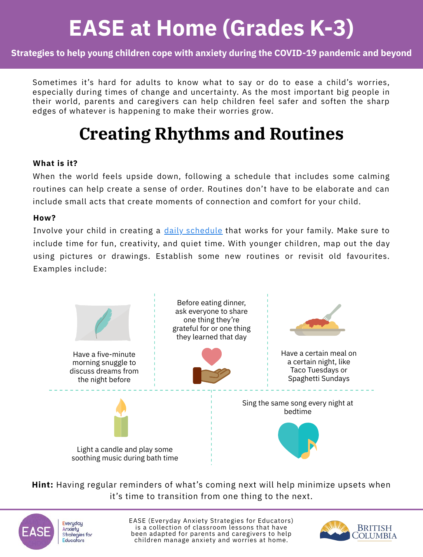#### **Strategies to help young children cope with anxiety during the COVID-19 pandemic and beyond**

Sometimes it's hard for adults to know what to say or do to ease a child's worries, especially during times of change and uncertainty. As the most important big people in their world, parents and caregivers can help children feel safer and soften the sharp edges of whatever is happening to make their worries grow.

### **Creating Rhythms and Routines**

#### **What is it?**

When the world feels upside down, following a schedule that includes some calming routines can help create a sense of order. Routines don't have to be elaborate and can include small acts that create moments of connection and comfort for your child.

#### **How?**

Involve your child in creating a <u>daily schedule</u> that works for your family. Make sure to include time for fun, creativity, and quiet time. With younger children, map out the day using pictures or drawings. Establish some new routines or revisit old favourites. Examples include:



**Hint:** Having regular reminders of what's coming next will help minimize upsets when it's time to transition from one thing to the next.



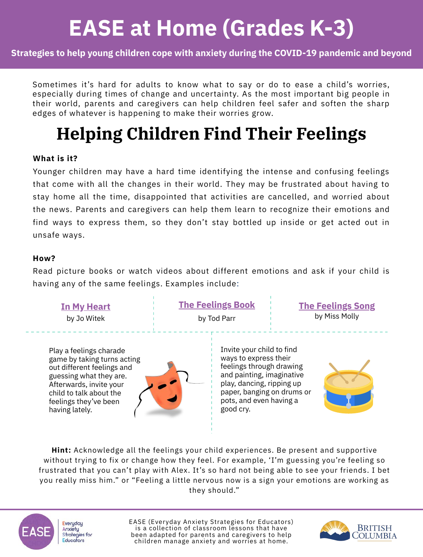#### **Strategies to help young children cope with anxiety during the COVID-19 pandemic and beyond**

Sometimes it's hard for adults to know what to say or do to ease a child's worries, especially during times of change and uncertainty. As the most important big people in their world, parents and caregivers can help children feel safer and soften the sharp edges of whatever is happening to make their worries grow.

### **Helping Children Find Their Feelings**

#### **What is it?**

Younger children may have a hard time identifying the intense and confusing feelings that come with all the changes in their world. They may be frustrated about having to stay home all the time, disappointed that activities are cancelled, and worried about the news. Parents and caregivers can help them learn to recognize their emotions and find ways to express them, so they don't stay bottled up inside or get acted out in unsafe ways.

#### **How?**

Read picture books or watch videos about different emotions and ask if your child is having any of the same feelings. Examples include:

by Jo Witek Play a feelings charade game by taking turns acting out different feelings and guessing what they are.

**[In My Heart](https://www.abramsbooks.com/product/in-my-heart_9781419713101/)**

child to talk about the feelings they've been

having lately.



**[The Feelings Book](https://www.hachettebookgroup.com/titles/todd-parr/the-feelings-book/9780316012492/)** by Tod Parr

**[The Feelings Song](https://www.youtube.com/watch?v=-J7HcVLsCrY)** by Miss Molly

Invite your child to find ways to express their feelings through drawing and painting, imaginative play, dancing, ripping up paper, banging on drums or pots, and even having a good cry.



**Hint:** Acknowledge all the feelings your child experiences. Be present and supportive without trying to fix or change how they feel. For example, 'I'm guessing you're feeling so frustrated that you can't play with Alex. It's so hard not being able to see your friends. I bet you really miss him." or "Feeling a little nervous now is a sign your emotions are working as they should."



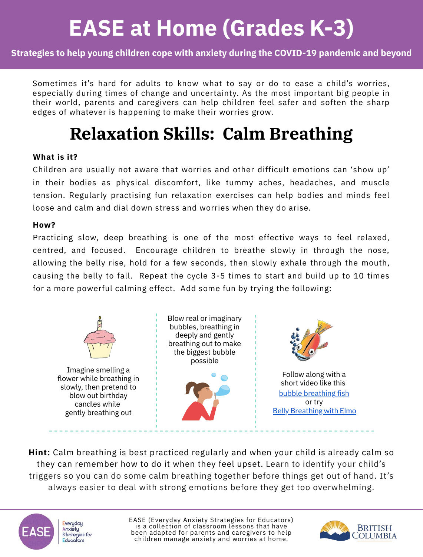#### **Strategies to help young children cope with anxiety during the COVID-19 pandemic and beyond**

Sometimes it's hard for adults to know what to say or do to ease a child's worries, especially during times of change and uncertainty. As the most important big people in their world, parents and caregivers can help children feel safer and soften the sharp edges of whatever is happening to make their worries grow.

### **Relaxation Skills: Calm Breathing**

#### **What is it?**

Children are usually not aware that worries and other difficult emotions can 'show up' in their bodies as physical discomfort, like tummy aches, headaches, and muscle tension. Regularly practising fun relaxation exercises can help bodies and minds feel loose and calm and dial down stress and worries when they do arise.

#### **How?**

Practicing slow, deep breathing is one of the most effective ways to feel relaxed, centred, and focused. Encourage children to breathe slowly in through the nose, allowing the belly rise, hold for a few seconds, then slowly exhale through the mouth, causing the belly to fall. Repeat the cycle 3-5 times to start and build up to 10 times for a more powerful calming effect. Add some fun by trying the following:



**Hint:** Calm breathing is best practiced regularly and when your child is already calm so they can remember how to do it when they feel upset. Learn to identify your child's triggers so you can do some calm breathing together before things get out of hand. It's always easier to deal with strong emotions before they get too overwhelming.

**Everyday** Anxiety **Strategies for** Educators

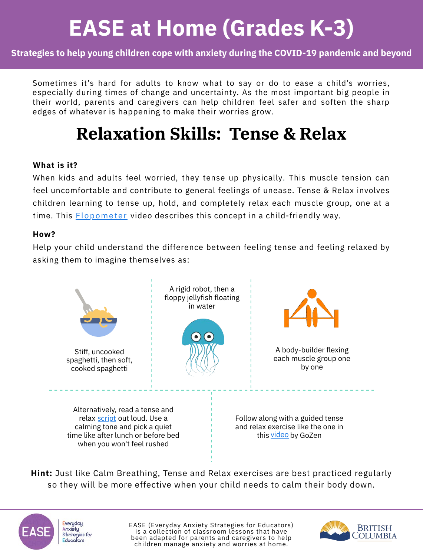#### **Strategies to help young children cope with anxiety during the COVID-19 pandemic and beyond**

Sometimes it's hard for adults to know what to say or do to ease a child's worries, especially during times of change and uncertainty. As the most important big people in their world, parents and caregivers can help children feel safer and soften the sharp edges of whatever is happening to make their worries grow.

### **Relaxation Skills: Tense & Relax**

#### **What is it?**

When kids and adults feel worried, they tense up physically. This muscle tension can feel uncomfortable and contribute to general feelings of unease. Tense & Relax involves [children learning to tense up, hold, and completely relax each muscle group, one at a](https://www.youtube.com/watch?v=1unEqeYwe0Q) time. This <u>Flopometer</u> video describes this concept in a child-friendly way.

#### **How?**

Help your child understand the difference between feeling tense and feeling relaxed by asking them to imagine themselves as:



**Hint:** Just like Calm Breathing, Tense and Relax exercises are best practiced regularly so they will be more effective when your child needs to calm their body down.